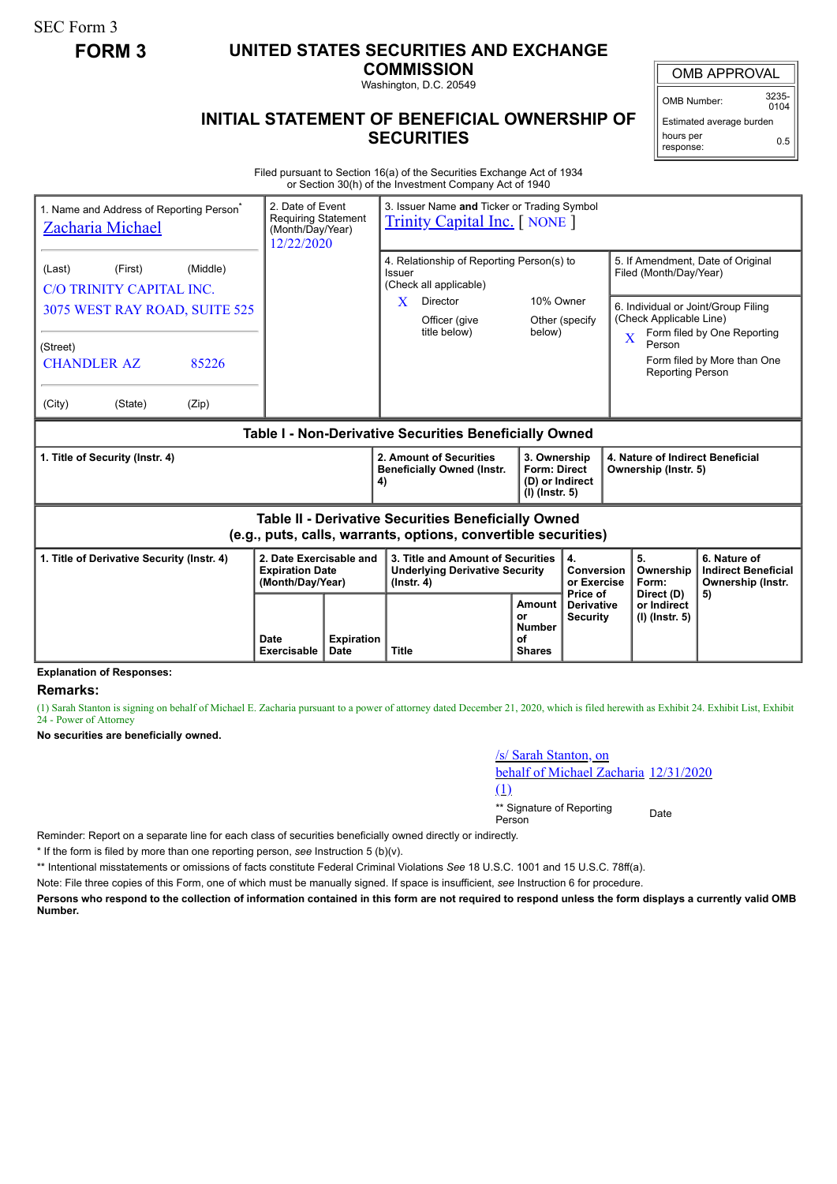SEC Form 3

# **FORM 3 UNITED STATES SECURITIES AND EXCHANGE**

**COMMISSION** Washington, D.C. 20549

OMB APPROVAL

OMB Number: 3235-  $0104$ 

Estimated average burden hours per response: 0.5

## **INITIAL STATEMENT OF BENEFICIAL OWNERSHIP OF SECURITIES**

Filed pursuant to Section 16(a) of the Securities Exchange Act of 1934 or Section 30(h) of the Investment Company Act of 1940

| 1. Name and Address of Reporting Person <sup>®</sup><br><b>Zacharia Michael</b>                                       |                     | 2. Date of Event<br>3. Issuer Name and Ticker or Trading Symbol<br><b>Requiring Statement</b><br><b>Trinity Capital Inc.</b> [ NONE ]<br>(Month/Day/Year)<br>12/22/2020 |                                                                                                |                                                      |                                                                                                                                      |                                                                                               |                                                                 |  |
|-----------------------------------------------------------------------------------------------------------------------|---------------------|-------------------------------------------------------------------------------------------------------------------------------------------------------------------------|------------------------------------------------------------------------------------------------|------------------------------------------------------|--------------------------------------------------------------------------------------------------------------------------------------|-----------------------------------------------------------------------------------------------|-----------------------------------------------------------------|--|
| (Middle)<br>(Last)<br>(First)<br>C/O TRINITY CAPITAL INC.                                                             |                     |                                                                                                                                                                         | 4. Relationship of Reporting Person(s) to<br>Issuer<br>(Check all applicable)                  |                                                      |                                                                                                                                      | 5. If Amendment, Date of Original<br>Filed (Month/Day/Year)                                   |                                                                 |  |
| 3075 WEST RAY ROAD, SUITE 525                                                                                         |                     |                                                                                                                                                                         | X<br>Director<br>Officer (give<br>title below)                                                 | 10% Owner<br>below)                                  | Other (specify                                                                                                                       | 6. Individual or Joint/Group Filing<br>(Check Applicable Line)<br>Form filed by One Reporting |                                                                 |  |
| (Street)<br><b>CHANDLER AZ</b><br>85226                                                                               |                     |                                                                                                                                                                         |                                                                                                |                                                      |                                                                                                                                      | Person<br><b>Reporting Person</b>                                                             | Form filed by More than One                                     |  |
| (City)<br>(State)<br>(Zip)                                                                                            |                     |                                                                                                                                                                         |                                                                                                |                                                      |                                                                                                                                      |                                                                                               |                                                                 |  |
| Table I - Non-Derivative Securities Beneficially Owned                                                                |                     |                                                                                                                                                                         |                                                                                                |                                                      |                                                                                                                                      |                                                                                               |                                                                 |  |
| 1. Title of Security (Instr. 4)                                                                                       |                     |                                                                                                                                                                         | 2. Amount of Securities<br><b>Beneficially Owned (Instr.</b><br>4)                             |                                                      | 3. Ownership<br>4. Nature of Indirect Beneficial<br><b>Form: Direct</b><br>Ownership (Instr. 5)<br>(D) or Indirect<br>(I) (Instr. 5) |                                                                                               |                                                                 |  |
| Table II - Derivative Securities Beneficially Owned<br>(e.g., puts, calls, warrants, options, convertible securities) |                     |                                                                                                                                                                         |                                                                                                |                                                      |                                                                                                                                      |                                                                                               |                                                                 |  |
| 2. Date Exercisable and<br>1. Title of Derivative Security (Instr. 4)<br><b>Expiration Date</b><br>(Month/Day/Year)   |                     |                                                                                                                                                                         | 3. Title and Amount of Securities<br><b>Underlying Derivative Security</b><br>$($ lnstr. 4 $)$ |                                                      | 4.<br>Conversion<br>or Exercise<br>Price of                                                                                          | 5.<br>Ownership<br>Form:                                                                      | 6. Nature of<br><b>Indirect Beneficial</b><br>Ownership (Instr. |  |
|                                                                                                                       | Date<br>Exercisable | <b>Expiration</b><br>Date                                                                                                                                               | <b>Title</b>                                                                                   | Amount<br>or<br><b>Number</b><br>οf<br><b>Shares</b> | <b>Derivative</b><br><b>Security</b>                                                                                                 | Direct (D)<br>or Indirect<br>(I) (Instr. 5)                                                   | 5)                                                              |  |

#### **Explanation of Responses:**

#### **Remarks:**

(1) Sarah Stanton is signing on behalf of Michael E. Zacharia pursuant to a power of attorney dated December 21, 2020, which is filed herewith as Exhibit 24. Exhibit List, Exhibit 24 - Power of Attorney

**No securities are beneficially owned.**

/s/ Sarah Stanton, on behalf of Michael Zacharia 12/31/2020 (1) \*\* Signature of Reporting <sub>Date</sub><br>Person

Reminder: Report on a separate line for each class of securities beneficially owned directly or indirectly.

\* If the form is filed by more than one reporting person, *see* Instruction 5 (b)(v).

\*\* Intentional misstatements or omissions of facts constitute Federal Criminal Violations *See* 18 U.S.C. 1001 and 15 U.S.C. 78ff(a).

Note: File three copies of this Form, one of which must be manually signed. If space is insufficient, *see* Instruction 6 for procedure.

**Persons who respond to the collection of information contained in this form are not required to respond unless the form displays a currently valid OMB Number.**